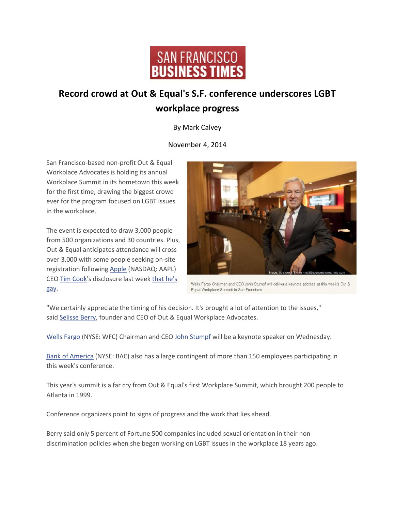

## **Record crowd at Out & Equal's S.F. conference underscores LGBT workplace progress**

By Mark Calvey

## November 4, 2014

San Francisco-based non-profit Out & Equal Workplace Advocates is holding its annual Workplace Summit in its hometown this week for the first time, drawing the biggest crowd ever for the program focused on LGBT issues in the workplace.

The event is expected to draw 3,000 people from 500 organizations and 30 countries. Plus, Out & Equal anticipates attendance will cross over 3,000 with some people seeking on-site registration following [Apple](http://www.bizjournals.com/profiles/company/us/ca/cupertino/apple_inc/17304) (NASDAQ: AAPL) CEO [Tim Cook'](http://www.bizjournals.com/sanfrancisco/search/results?q=Tim%20Cook)s disclosure last week [that he's](http://www.bizjournals.com/sanfrancisco/blog/2014/10/apple-ceo-tim-cook-gay-disclosure-lgbt-equality.html?utm_source=feedburner&utm_medium=feed&utm_campaign=Feed%3A+bizj_sanfrancisco+%28San+Francisco+Business+Times%29)  [gay.](http://www.bizjournals.com/sanfrancisco/blog/2014/10/apple-ceo-tim-cook-gay-disclosure-lgbt-equality.html?utm_source=feedburner&utm_medium=feed&utm_campaign=Feed%3A+bizj_sanfrancisco+%28San+Francisco+Business+Times%29)



Wells Fargo Chairman and CEO John Stumpf will deliver a keynote address at this week's Out & Equal Workplace Summit in San Francisco.

"We certainly appreciate the timing of his decision. It's brought a lot of attention to the issues," said [Selisse Berry,](http://www.bizjournals.com/sanfrancisco/search/results?q=Selisse%20Berry) founder and CEO of Out & Equal Workplace Advocates.

[Wells Fargo](http://www.bizjournals.com/profiles/company/us/ca/san_francisco/wells_fargo_%26_company/3212390) (NYSE: WFC) Chairman and CEO [John Stumpf](http://www.bizjournals.com/sanfrancisco/search/results?q=John%20Stumpf) will be a keynote speaker on Wednesday.

[Bank of America](http://www.bizjournals.com/profiles/company/us/nc/charlotte/bank_of_america/3216319) (NYSE: BAC) also has a large contingent of more than 150 employees participating in this week's conference.

This year's summit is a far cry from Out & Equal's first Workplace Summit, which brought 200 people to Atlanta in 1999.

Conference organizers point to signs of progress and the work that lies ahead.

Berry said only 5 percent of Fortune 500 companies included sexual orientation in their nondiscrimination policies when she began working on LGBT issues in the workplace 18 years ago.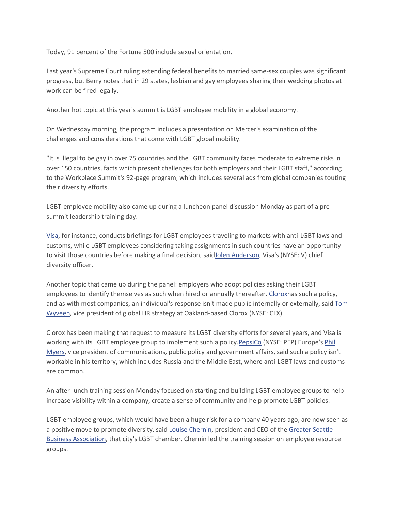Today, 91 percent of the Fortune 500 include sexual orientation.

Last year's Supreme Court ruling extending federal benefits to married same-sex couples was significant progress, but Berry notes that in 29 states, lesbian and gay employees sharing their wedding photos at work can be fired legally.

Another hot topic at this year's summit is LGBT employee mobility in a global economy.

On Wednesday morning, the program includes a presentation on Mercer's examination of the challenges and considerations that come with LGBT global mobility.

"It is illegal to be gay in over 75 countries and the LGBT community faces moderate to extreme risks in over 150 countries, facts which present challenges for both employers and their LGBT staff," according to the Workplace Summit's 92-page program, which includes several ads from global companies touting their diversity efforts.

LGBT-employee mobility also came up during a luncheon panel discussion Monday as part of a presummit leadership training day.

[Visa,](http://www.bizjournals.com/profiles/company/us/ca/san_francisco/visa_inc/194714) for instance, conducts briefings for LGBT employees traveling to markets with anti-LGBT laws and customs, while LGBT employees considering taking assignments in such countries have an opportunity to visit those countries before making a final decision, sai[dJolen Anderson,](http://www.bizjournals.com/sanfrancisco/search/results?q=Jolen%20Anderson) Visa's (NYSE: V) chief diversity officer.

Another topic that came up during the panel: employers who adopt policies asking their LGBT employees to identify themselves as such when hired or annually thereafter. [Cloroxh](http://www.bizjournals.com/profiles/company/us/ca/oakland/clorox_co/17956)as such a policy, and as with most companies, an individual's response isn't made public internally or externally, said Tom [Wyveen,](http://www.bizjournals.com/sanfrancisco/search/results?q=Tom%20Wyveen) vice president of global HR strategy at Oakland-based Clorox (NYSE: CLX).

Clorox has been making that request to measure its LGBT diversity efforts for several years, and Visa is working with its LGBT employee group to implement such a policy. PepsiCo (NYSE: PEP) Europe's Phil [Myers,](http://www.bizjournals.com/sanfrancisco/search/results?q=Phil%20Myers) vice president of communications, public policy and government affairs, said such a policy isn't workable in his territory, which includes Russia and the Middle East, where anti-LGBT laws and customs are common.

An after-lunch training session Monday focused on starting and building LGBT employee groups to help increase visibility within a company, create a sense of community and help promote LGBT policies.

LGBT employee groups, which would have been a huge risk for a company 40 years ago, are now seen as a positive move to promote diversity, said [Louise Chernin,](http://www.bizjournals.com/sanfrancisco/search/results?q=Louise%20Chernin) president and CEO of the [Greater Seattle](http://www.bizjournals.com/profiles/company/us/wa/seattle/greater_seattle_business_association/1845739)  [Business Association,](http://www.bizjournals.com/profiles/company/us/wa/seattle/greater_seattle_business_association/1845739) that city's LGBT chamber. Chernin led the training session on employee resource groups.